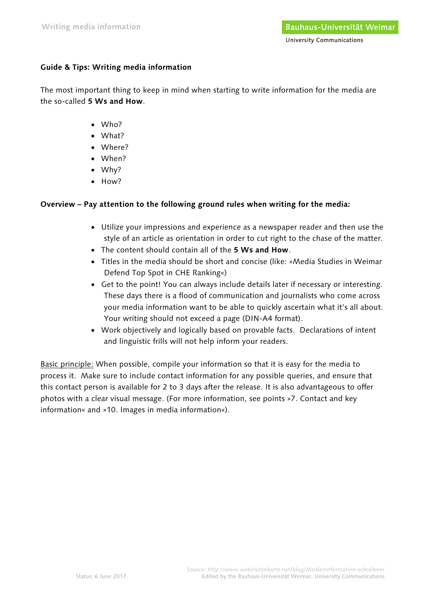# **Guide & Tips: Writing media information**

The most important thing to keep in mind when starting to write information for the media are the so-called **5 Ws and How**.

- Who?
- What?
- Where?
- When?
- Why?
- How?

# **Overview – Pay attention to the following ground rules when writing for the media:**

- Utilize your impressions and experience as a newspaper reader and then use the style of an article as orientation in order to cut right to the chase of the matter.
- The content should contain all of the **5 Ws and How**.
- Titles in the media should be short and concise (like: »Media Studies in Weimar Defend Top Spot in CHE Ranking«)
- Get to the point! You can always include details later if necessary or interesting. These days there is a flood of communication and journalists who come across your media information want to be able to quickly ascertain what it's all about. Your writing should not exceed a page (DIN-A4 format).
- Work objectively and logically based on provable facts. Declarations of intent and linguistic frills will not help inform your readers.

Basic principle: When possible, compile your information so that it is easy for the media to process it. Make sure to include contact information for any possible queries, and ensure that this contact person is available for 2 to 3 days after the release. It is also advantageous to offer photos with a clear visual message. (For more information, see points »7. Contact and key information« and »10. Images in media information«).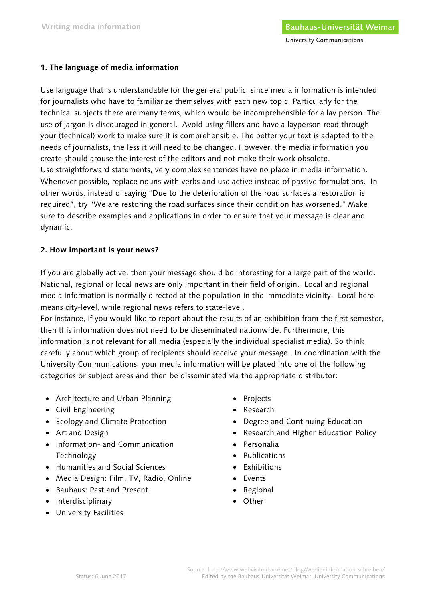## **1. The language of media information**

Use language that is understandable for the general public, since media information is intended for journalists who have to familiarize themselves with each new topic. Particularly for the technical subjects there are many terms, which would be incomprehensible for a lay person. The use of jargon is discouraged in general. Avoid using fillers and have a layperson read through your (technical) work to make sure it is comprehensible. The better your text is adapted to the needs of journalists, the less it will need to be changed. However, the media information you create should arouse the interest of the editors and not make their work obsolete. Use straightforward statements, very complex sentences have no place in media information. Whenever possible, replace nouns with verbs and use active instead of passive formulations. In other words, instead of saying "Due to the deterioration of the road surfaces a restoration is required", try "We are restoring the road surfaces since their condition has worsened." Make sure to describe examples and applications in order to ensure that your message is clear and dynamic.

## **2. How important is your news?**

If you are globally active, then your message should be interesting for a large part of the world. National, regional or local news are only important in their field of origin. Local and regional media information is normally directed at the population in the immediate vicinity. Local here means city-level, while regional news refers to state-level.

For instance, if you would like to report about the results of an exhibition from the first semester, then this information does not need to be disseminated nationwide. Furthermore, this information is not relevant for all media (especially the individual specialist media). So think carefully about which group of recipients should receive your message. In coordination with the University Communications, your media information will be placed into one of the following categories or subject areas and then be disseminated via the appropriate distributor:

- Architecture and Urban Planning
- Civil Engineering
- Ecology and Climate Protection
- Art and Design
- Information- and Communication Technology
- Humanities and Social Sciences
- Media Design: Film, TV, Radio, Online
- Bauhaus: Past and Present
- Interdisciplinary
- University Facilities
- Projects
- Research
- Degree and Continuing Education
- Research and Higher Education Policy
- Personalia
- Publications
- Exhibitions
- Events
- Regional
- Other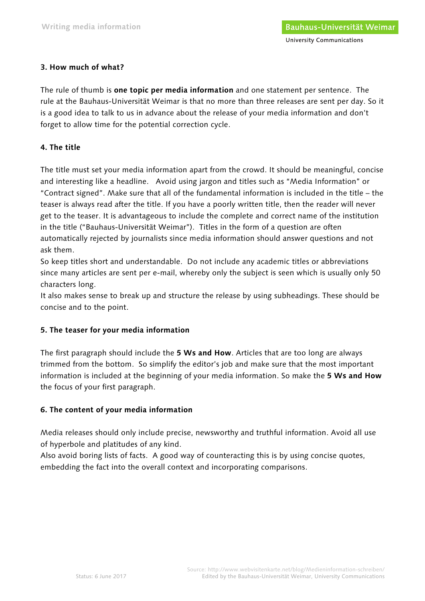### **3. How much of what?**

The rule of thumb is **one topic per media information** and one statement per sentence. The rule at the Bauhaus-Universität Weimar is that no more than three releases are sent per day. So it is a good idea to talk to us in advance about the release of your media information and don't forget to allow time for the potential correction cycle.

### **4. The title**

The title must set your media information apart from the crowd. It should be meaningful, concise and interesting like a headline. Avoid using jargon and titles such as "Media Information" or "Contract signed". Make sure that all of the fundamental information is included in the title – the teaser is always read after the title. If you have a poorly written title, then the reader will never get to the teaser. It is advantageous to include the complete and correct name of the institution in the title ("Bauhaus-Universität Weimar"). Titles in the form of a question are often automatically rejected by journalists since media information should answer questions and not ask them.

So keep titles short and understandable. Do not include any academic titles or abbreviations since many articles are sent per e-mail, whereby only the subject is seen which is usually only 50 characters long.

It also makes sense to break up and structure the release by using subheadings. These should be concise and to the point.

### **5. The teaser for your media information**

The first paragraph should include the **5 Ws and How**. Articles that are too long are always trimmed from the bottom. So simplify the editor's job and make sure that the most important information is included at the beginning of your media information. So make the **5 Ws and How** the focus of your first paragraph.

## **6. The content of your media information**

Media releases should only include precise, newsworthy and truthful information. Avoid all use of hyperbole and platitudes of any kind.

Also avoid boring lists of facts. A good way of counteracting this is by using concise quotes, embedding the fact into the overall context and incorporating comparisons.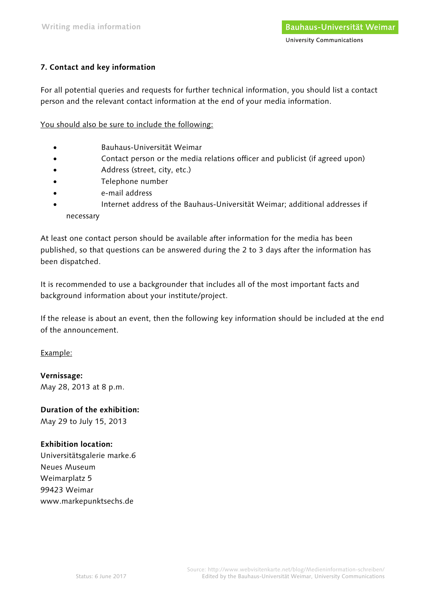# **7. Contact and key information**

For all potential queries and requests for further technical information, you should list a contact person and the relevant contact information at the end of your media information.

You should also be sure to include the following:

- Bauhaus-Universität Weimar
- Contact person or the media relations officer and publicist (if agreed upon)
- Address (street, city, etc.)
- Telephone number
- e-mail address
- Internet address of the Bauhaus-Universität Weimar; additional addresses if necessary

At least one contact person should be available after information for the media has been published, so that questions can be answered during the 2 to 3 days after the information has been dispatched.

It is recommended to use a backgrounder that includes all of the most important facts and background information about your institute/project.

If the release is about an event, then the following key information should be included at the end of the announcement.

Example:

**Vernissage:**  May 28, 2013 at 8 p.m.

# **Duration of the exhibition:**

May 29 to July 15, 2013

### **Exhibition location:**

Universitätsgalerie marke.6 Neues Museum Weimarplatz 5 99423 Weimar www.markepunktsechs.de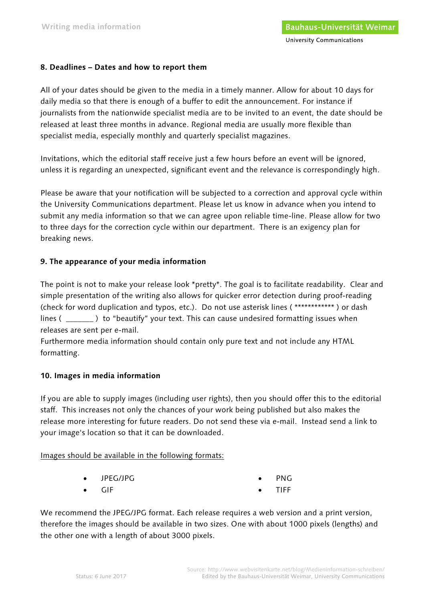### **8. Deadlines – Dates and how to report them**

All of your dates should be given to the media in a timely manner. Allow for about 10 days for daily media so that there is enough of a buffer to edit the announcement. For instance if journalists from the nationwide specialist media are to be invited to an event, the date should be released at least three months in advance. Regional media are usually more flexible than specialist media, especially monthly and quarterly specialist magazines.

Invitations, which the editorial staff receive just a few hours before an event will be ignored, unless it is regarding an unexpected, significant event and the relevance is correspondingly high.

Please be aware that your notification will be subjected to a correction and approval cycle within the University Communications department. Please let us know in advance when you intend to submit any media information so that we can agree upon reliable time-line. Please allow for two to three days for the correction cycle within our department. There is an exigency plan for breaking news.

### **9. The appearance of your media information**

The point is not to make your release look \*pretty\*. The goal is to facilitate readability. Clear and simple presentation of the writing also allows for quicker error detection during proof-reading (check for word duplication and typos, etc.). Do not use asterisk lines ( \*\*\*\*\*\*\*\*\*\*\*\* ) or dash lines ( \_\_\_\_\_\_\_ ) to "beautify" your text. This can cause undesired formatting issues when releases are sent per e-mail.

Furthermore media information should contain only pure text and not include any HTML formatting.

## **10. Images in media information**

If you are able to supply images (including user rights), then you should offer this to the editorial staff. This increases not only the chances of your work being published but also makes the release more interesting for future readers. Do not send these via e-mail. Instead send a link to your image's location so that it can be downloaded.

### Images should be available in the following formats:

• JPEG/JPG

• PNG

• TIFF

• GIF

We recommend the JPEG/JPG format. Each release requires a web version and a print version, therefore the images should be available in two sizes. One with about 1000 pixels (lengths) and the other one with a length of about 3000 pixels.